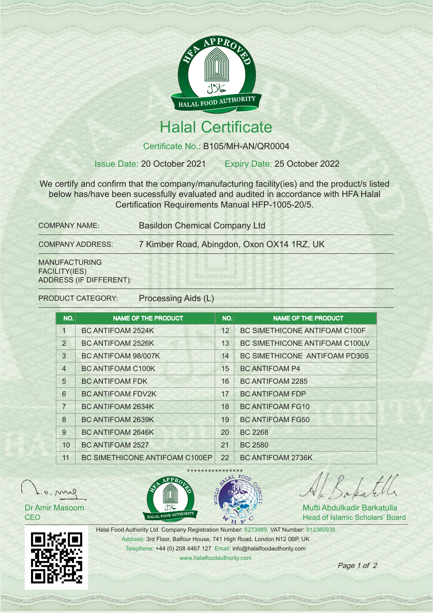

## Halal Certificate

Certificate No.: B105/MH-AN/QR0004

Issue Date: 20 October 2021 Expiry Date: 25 October 2022

We certify and confirm that the company/manufacturing facility(ies) and the product/s listed below has/have been sucessfully evaluated and audited in accordance with HFA Halal Certification Requirements Manual HFP-1005-20/5.

| <b>COMPANY NAME:</b>    | <b>Basildon Chemical Company Ltd</b><br>7 Kimber Road, Abingdon, Oxon OX14 1RZ, UK |  |  |
|-------------------------|------------------------------------------------------------------------------------|--|--|
| <b>COMPANY ADDRESS:</b> |                                                                                    |  |  |
| <b>MANUFACTURING</b>    |                                                                                    |  |  |

FACILITY(IES) ADDRESS (IF DIFFERENT):

PRODUCT CATEGORY: Processing Aids (L)

| NO.            | <b>NAME OF THE PRODUCT</b>            | NO. | <b>NAME OF THE PRODUCT</b>     |
|----------------|---------------------------------------|-----|--------------------------------|
| $\mathbf{1}$   | BC ANTIFOAM 2524K                     | 12  | BC SIMETHICONE ANTIFOAM C100F  |
| $\overline{2}$ | <b>BC ANTIFOAM 2526K</b>              | 13  | BC SIMETHICONE ANTIFOAM C100LV |
| 3              | BC ANTIFOAM 98/007K                   | 14  | BC SIMETHICONE ANTIFOAM PD30S  |
| $\overline{4}$ | <b>BC ANTIFOAM C100K</b>              | 15  | <b>BC ANTIFOAM P4</b>          |
| 5              | <b>BC ANTIFOAM FDK</b>                | 16  | <b>BC ANTIFOAM 2285</b>        |
| 6              | <b>BC ANTIFOAM FDV2K</b>              | 17  | <b>BC ANTIFOAM FDP</b>         |
| $\overline{7}$ | BC ANTIFOAM 2634K                     | 18  | <b>BC ANTIFOAM FG10</b>        |
| 8              | <b>BC ANTIFOAM 2639K</b>              | 19  | <b>BC ANTIFOAM FG50</b>        |
| 9              | BC ANTIFOAM 2646K                     | 20  | <b>BC 2268</b>                 |
| 10             | <b>BC ANTIFOAM 2527</b>               | 21  | <b>BC 2580</b>                 |
| 11             | <b>BC SIMETHICONE ANTIFOAM C100EP</b> | 22  | BC ANTIFOAM 2736K              |



Dr Amir Masoom **CEO** 





Al Bakatill

Mufti Abdulkadir Barkatulla Head of Islamic Scholars' Board



Halal Food Authority Ltd. Company Registration Number: 6273989, VAT Number: 912380938 Address: 3rd Floor, Balfour House, 741 High Road, London N12 0BP, UK Telephone: +44 (0) 208 4467 127 Email: info@halalfoodauthority.com www.halalfoodauthority.com